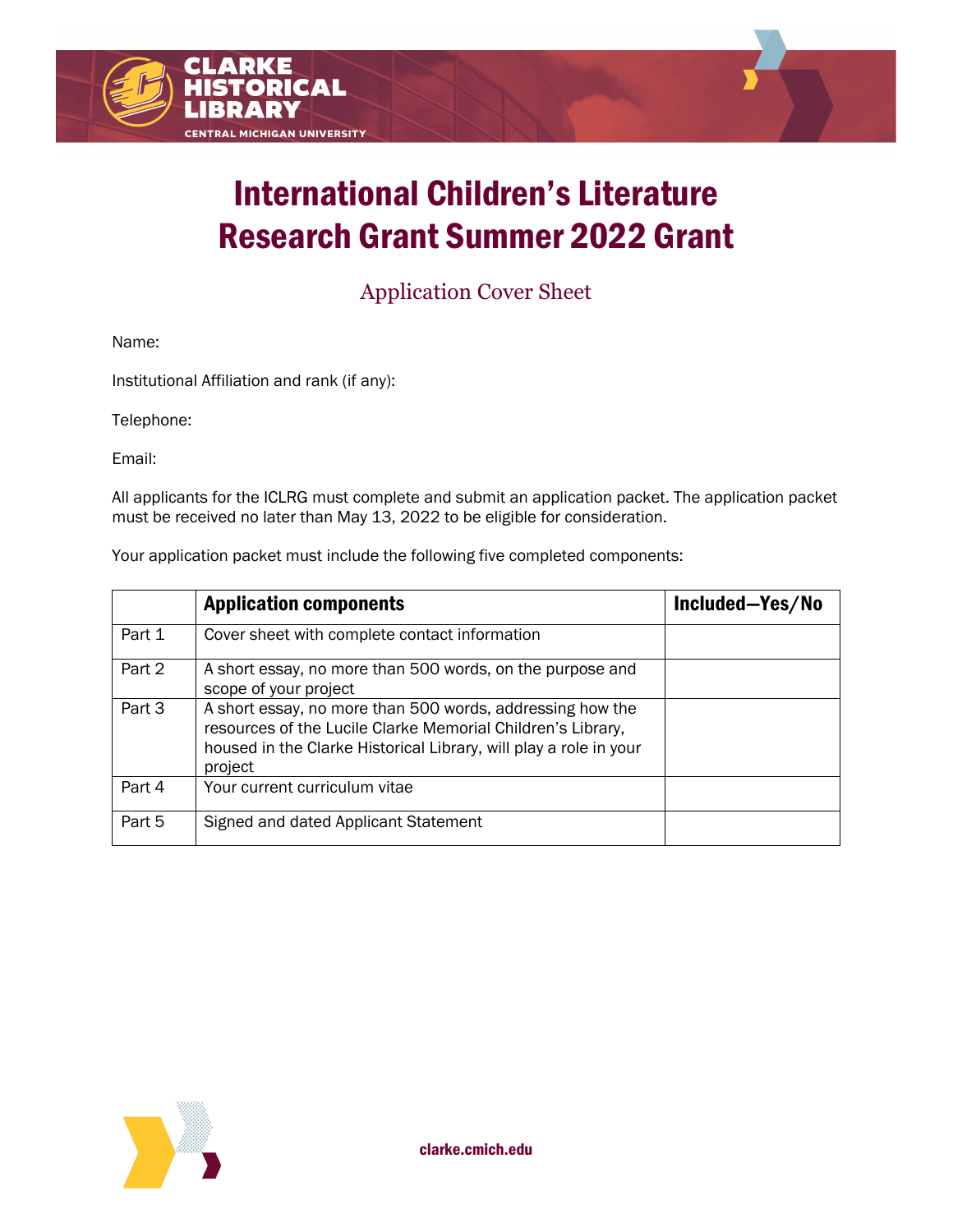# International Children's Literature Research Grant Summer 2022 Grant

Application Cover Sheet

Name:

Institutional Affiliation and rank (if any):

Telephone:

Email:

All applicants for the ICLRG must complete and submit an application packet. The application packet must be received no later than May 13, 2022 to be eligible for consideration.

Your application packet must include the following five completed components:

|        | <b>Application components</b>                                                                                                                                                                            | Included-Yes/No |
|--------|----------------------------------------------------------------------------------------------------------------------------------------------------------------------------------------------------------|-----------------|
| Part 1 | Cover sheet with complete contact information                                                                                                                                                            |                 |
| Part 2 | A short essay, no more than 500 words, on the purpose and<br>scope of your project                                                                                                                       |                 |
| Part 3 | A short essay, no more than 500 words, addressing how the<br>resources of the Lucile Clarke Memorial Children's Library,<br>housed in the Clarke Historical Library, will play a role in your<br>project |                 |
| Part 4 | Your current curriculum vitae                                                                                                                                                                            |                 |
| Part 5 | Signed and dated Applicant Statement                                                                                                                                                                     |                 |

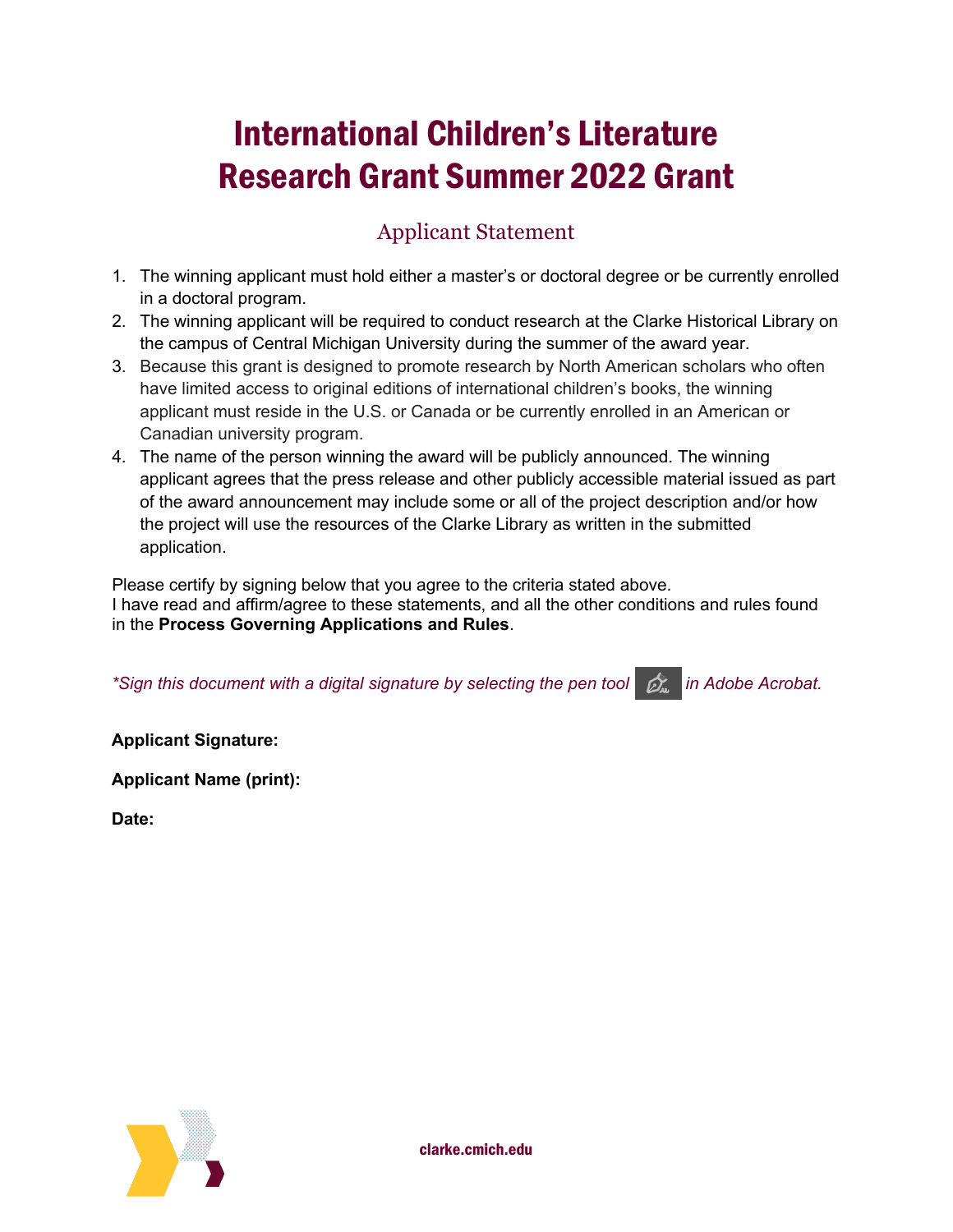## International Children's Literature Research Grant Summer 2022 Grant

### Applicant Statement

- 1. The winning applicant must hold either a master's or doctoral degree or be currently enrolled in a doctoral program.
- 2. The winning applicant will be required to conduct research at the Clarke Historical Library on the campus of Central Michigan University during the summer of the award year.
- 3. Because this grant is designed to promote research by North American scholars who often have limited access to original editions of international children's books, the winning applicant must reside in the U.S. or Canada or be currently enrolled in an American or Canadian university program.
- 4. The name of the person winning the award will be publicly announced. The winning applicant agrees that the press release and other publicly accessible material issued as part of the award announcement may include some or all of the project description and/or how the project will use the resources of the Clarke Library as written in the submitted application.

Please certify by signing below that you agree to the criteria stated above. I have read and affirm/agree to these statements, and all the other conditions and rules found in the **Process Governing Applications and Rules**.

| *Sign this document with a digital signature by selecting the pen tool $\Box$ in Adobe Acrobat. |  |  |  |
|-------------------------------------------------------------------------------------------------|--|--|--|
|-------------------------------------------------------------------------------------------------|--|--|--|

**Applicant Signature:** 

**Applicant Name (print):** 

**Date:**